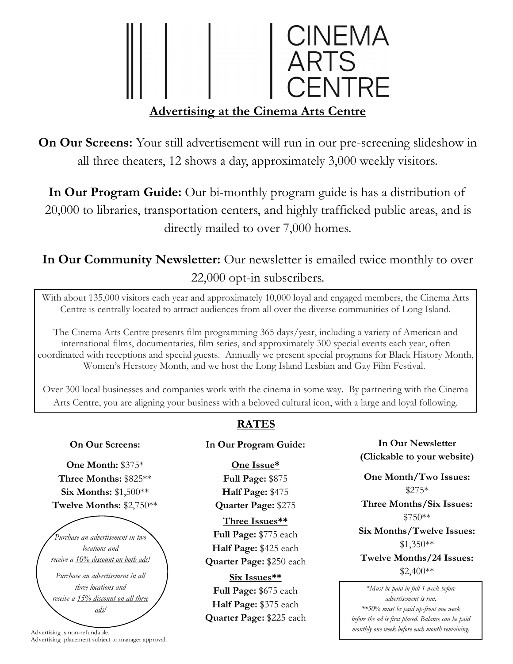# CINEMA<br>ARTS<br>CENTRE **Advertising at the Cinema Arts Centre**

**On Our Screens:** Your still advertisement will run in our pre-screening slideshow in all three theaters, 12 shows a day, approximately 3,000 weekly visitors.

**In Our Program Guide:** Our bi-monthly program guide is has a distribution of 20,000 to libraries, transportation centers, and highly trafficked public areas, and is directly mailed to over 7,000 homes.

## In Our Community Newsletter: Our newsletter is emailed twice monthly to over 22,000 opt-in subscribers.

With about 135,000 visitors each year and approximately 10,000 loyal and engaged members, the Cinema Arts Centre is centrally located to attract audiences from all over the diverse communities of Long Island.

The Cinema Arts Centre presents film programming 365 days/year, including a variety of American and international films, documentaries, film series, and approximately 300 special events each year, often coordinated with receptions and special guests. Annually we present special programs for Black History Month, Women's Herstory Month, and we host the Long Island Lesbian and Gay Film Festival.

Over 300 local businesses and companies work with the cinema in some way. By partnering with the Cinema Arts Centre, you are aligning your business with a beloved cultural icon, with a large and loyal following.

#### **On Our Screens:**

**One Month:** \$375\* **Three Months:** \$825\*\* **Six Months:** \$1,500\*\* **Twelve Months:** \$2,750\*\*

*Purchase an advertisement in two locations and receive a 10% discount on both ads! Purchase an advertisement in all three locations and receive a 15% discount on all three ads!*

Advertising is non-refundable. Advertising placement subject to manager approval.

### **RATES**

#### **In Our Program Guide:**

**One Issue\* Full Page:** \$875 **Half Page:** \$475 **Quarter Page:** \$275 **Three Issues\*\* Full Page:** \$775 each **Half Page:** \$425 each **Quarter Page:** \$250 each **Six Issues\*\***

**Full Page:** \$675 each **Half Page:** \$375 each **Quarter Page:** \$225 each

**In Our Newsletter (Clickable to your website)**

**One Month/Two Issues:** \$275\* **Three Months/Six Issues:** \$750\*\* **Six Months/Twelve Issues:**  \$1,350\*\* **Twelve Months/24 Issues:**  $$2,400**$ 

*\*Must be paid in full 1 week before advertisement is run. \*\*50% must be paid up-front one week before the ad is first placed. Balance can be paid monthly one week before each month remaining.*